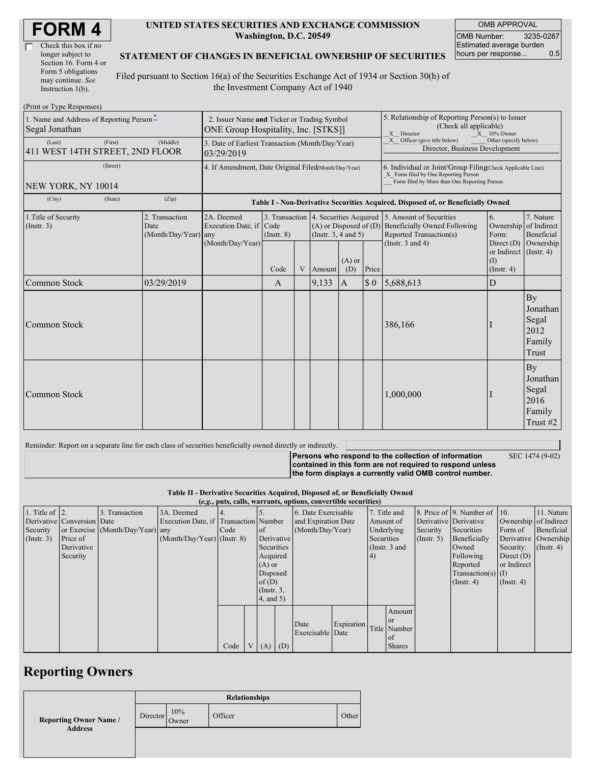| <b>FORM4</b> |
|--------------|
|--------------|

| Check this box if no  |
|-----------------------|
| longer subject to     |
| Section 16. Form 4 or |
| Form 5 obligations    |
| may continue. See     |
| Instruction 1(b).     |

### **UNITED STATES SECURITIES AND EXCHANGE COMMISSION Washington, D.C. 20549**

OMB APPROVAL OMB Number: 3235-0287 Estimated average burden<br>hours per response... 0.5 hours per response...

### **STATEMENT OF CHANGES IN BENEFICIAL OWNERSHIP OF SECURITIES**

Filed pursuant to Section 16(a) of the Securities Exchange Act of 1934 or Section 30(h) of the Investment Company Act of 1940

| (Print or Type Responses)                                  |                                                                                    |                                                                |                                                      |                                                                                                                            |   |        |                                                                                                                                                    |                                                                                         |                                                                                                                    |                                                      |                                                       |
|------------------------------------------------------------|------------------------------------------------------------------------------------|----------------------------------------------------------------|------------------------------------------------------|----------------------------------------------------------------------------------------------------------------------------|---|--------|----------------------------------------------------------------------------------------------------------------------------------------------------|-----------------------------------------------------------------------------------------|--------------------------------------------------------------------------------------------------------------------|------------------------------------------------------|-------------------------------------------------------|
| 1. Name and Address of Reporting Person-<br>Segal Jonathan | 2. Issuer Name and Ticker or Trading Symbol<br>ONE Group Hospitality, Inc. [STKS]] |                                                                |                                                      |                                                                                                                            |   |        | 5. Relationship of Reporting Person(s) to Issuer<br>(Check all applicable)<br>X Director<br>$X = 10\%$ Owner                                       |                                                                                         |                                                                                                                    |                                                      |                                                       |
| (Last)<br>411 WEST 14TH STREET, 2ND FLOOR                  | (Middle)                                                                           | 3. Date of Earliest Transaction (Month/Day/Year)<br>03/29/2019 |                                                      |                                                                                                                            |   |        |                                                                                                                                                    | X Officer (give title below)<br>Other (specify below)<br>Director, Business Development |                                                                                                                    |                                                      |                                                       |
| NEW YORK, NY 10014                                         | 4. If Amendment, Date Original Filed(Month/Day/Year)                               |                                                                |                                                      |                                                                                                                            |   |        | 6. Individual or Joint/Group Filing(Check Applicable Line)<br>X Form filed by One Reporting Person<br>Form filed by More than One Reporting Person |                                                                                         |                                                                                                                    |                                                      |                                                       |
| (City)                                                     | (State)                                                                            | (Zip)                                                          |                                                      |                                                                                                                            |   |        |                                                                                                                                                    |                                                                                         | Table I - Non-Derivative Securities Acquired, Disposed of, or Beneficially Owned                                   |                                                      |                                                       |
| 1. Title of Security<br>(Insert. 3)                        | 2. Transaction<br>Date<br>$(Month/Day/Year)$ any                                   |                                                                | 2A. Deemed<br>Execution Date, if<br>(Month/Day/Year) | 3. Transaction 4. Securities Acquired<br>$(A)$ or Disposed of $(D)$<br>Code<br>(Instr. $3, 4$ and $5$ )<br>$($ Instr. $8)$ |   |        |                                                                                                                                                    |                                                                                         | 5. Amount of Securities<br><b>Beneficially Owned Following</b><br>Reported Transaction(s)<br>(Instr. $3$ and $4$ ) | 6.<br>Ownership<br>Form:<br>Direct $(D)$             | 7. Nature<br>of Indirect<br>Beneficial                |
|                                                            |                                                                                    |                                                                |                                                      | Code                                                                                                                       | V | Amount | $(A)$ or<br>(D)                                                                                                                                    | Price                                                                                   |                                                                                                                    | or Indirect $($ Instr. 4)<br>(1)<br>$($ Instr. 4 $)$ | Ownership                                             |
| Common Stock                                               |                                                                                    | 03/29/2019                                                     |                                                      | A                                                                                                                          |   | 9,133  | $\mathbf{A}$                                                                                                                                       | $\boldsymbol{\mathsf{S}}$ 0                                                             | 5,688,613                                                                                                          | D                                                    |                                                       |
| Common Stock                                               |                                                                                    |                                                                |                                                      |                                                                                                                            |   |        |                                                                                                                                                    |                                                                                         | 386,166                                                                                                            |                                                      | By<br>Jonathan<br>Segal<br>2012<br>Family<br>Trust    |
| <b>Common Stock</b>                                        |                                                                                    |                                                                |                                                      |                                                                                                                            |   |        |                                                                                                                                                    |                                                                                         | 1,000,000                                                                                                          |                                                      | By<br>Jonathan<br>Segal<br>2016<br>Family<br>Trust #2 |

Reminder: Report on a separate line for each class of securities beneficially owned directly or indirectly.

| <b>Persons who respond to the collection of information</b> | SEC 1474 (9-02) |
|-------------------------------------------------------------|-----------------|
| contained in this form are not required to respond unless   |                 |
| the form displays a currently valid OMB control number.     |                 |
|                                                             |                 |

**Table II - Derivative Securities Acquired, Disposed of, or Beneficially Owned**

|  |  |  |  |  |  |  | $(e.g., puts, calls, warrants, options, convertible securities)$ |  |
|--|--|--|--|--|--|--|------------------------------------------------------------------|--|
|--|--|--|--|--|--|--|------------------------------------------------------------------|--|

| 1. Title of $ 2$ .<br>Security<br>(Insert. 3) | Derivative Conversion Date<br>Price of<br>Derivative<br>Security | 3. Transaction<br>or Exercise (Month/Day/Year) any | 3A. Deemed<br>Execution Date, if Transaction Number<br>$(Month/Day/Year)$ (Instr. 8) | Code | <sub>of</sub><br>Derivative<br>Securities<br>Acquired<br>$(A)$ or<br>Disposed<br>of(D)<br>$($ Instr. $3,$<br>4, and 5) | 6. Date Exercisable<br>and Expiration Date<br>(Month/Day/Year) |            | 7. Title and<br>Amount of<br>Underlying<br>Securities<br>(Instr. $3$ and<br>(4) |                                                              | Derivative Derivative<br>Security<br>$($ Instr. 5 $)$ | 8. Price of 9. Number of 10.<br>Securities<br>Beneficially<br>Owned<br>Following<br>Reported<br>$Transaction(s)$ (I)<br>$($ Instr. 4 $)$ | Ownership of Indirect<br>Form of<br>Derivative Ownership<br>Security:<br>Direct $(D)$<br>or Indirect<br>$($ Instr. 4 $)$ | 11. Nature<br>Beneficial<br>$($ Instr. 4 $)$ |
|-----------------------------------------------|------------------------------------------------------------------|----------------------------------------------------|--------------------------------------------------------------------------------------|------|------------------------------------------------------------------------------------------------------------------------|----------------------------------------------------------------|------------|---------------------------------------------------------------------------------|--------------------------------------------------------------|-------------------------------------------------------|------------------------------------------------------------------------------------------------------------------------------------------|--------------------------------------------------------------------------------------------------------------------------|----------------------------------------------|
|                                               |                                                                  |                                                    |                                                                                      | Code | $V(A)$ (D)                                                                                                             | Date<br>Exercisable Date                                       | Expiration |                                                                                 | Amount<br><b>or</b><br>Title Number<br>  of<br><b>Shares</b> |                                                       |                                                                                                                                          |                                                                                                                          |                                              |

## **Reporting Owners**

|                               |          |              | <b>Relationships</b> |       |
|-------------------------------|----------|--------------|----------------------|-------|
| <b>Reporting Owner Name /</b> | Director | 10%<br>Owner | Officer              | Other |
| <b>Address</b>                |          |              |                      |       |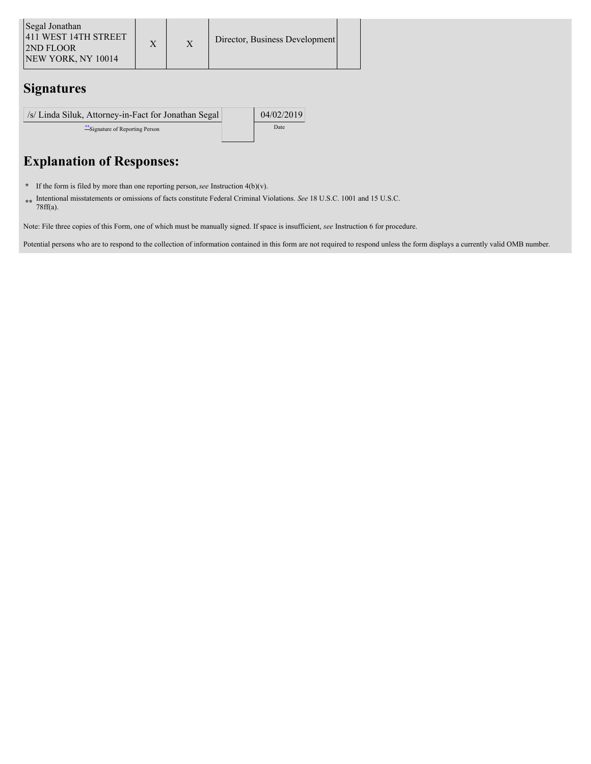| Segal Jonathan<br>1411 WEST 14TH STREET<br><b>2ND FLOOR</b><br><b>NEW YORK, NY 10014</b> |  |  | Director, Business Development |  |
|------------------------------------------------------------------------------------------|--|--|--------------------------------|--|
|------------------------------------------------------------------------------------------|--|--|--------------------------------|--|

# **Signatures**

| /s/ Linda Siluk, Attorney-in-Fact for Jonathan Segal | 04/02/2019 |
|------------------------------------------------------|------------|
| Signature of Reporting Person                        | Date       |

# **Explanation of Responses:**

- **\*** If the form is filed by more than one reporting person,*see* Instruction 4(b)(v).
- **\*\*** Intentional misstatements or omissions of facts constitute Federal Criminal Violations. *See* 18 U.S.C. 1001 and 15 U.S.C. 78ff(a).

Note: File three copies of this Form, one of which must be manually signed. If space is insufficient, *see* Instruction 6 for procedure.

Potential persons who are to respond to the collection of information contained in this form are not required to respond unless the form displays a currently valid OMB number.